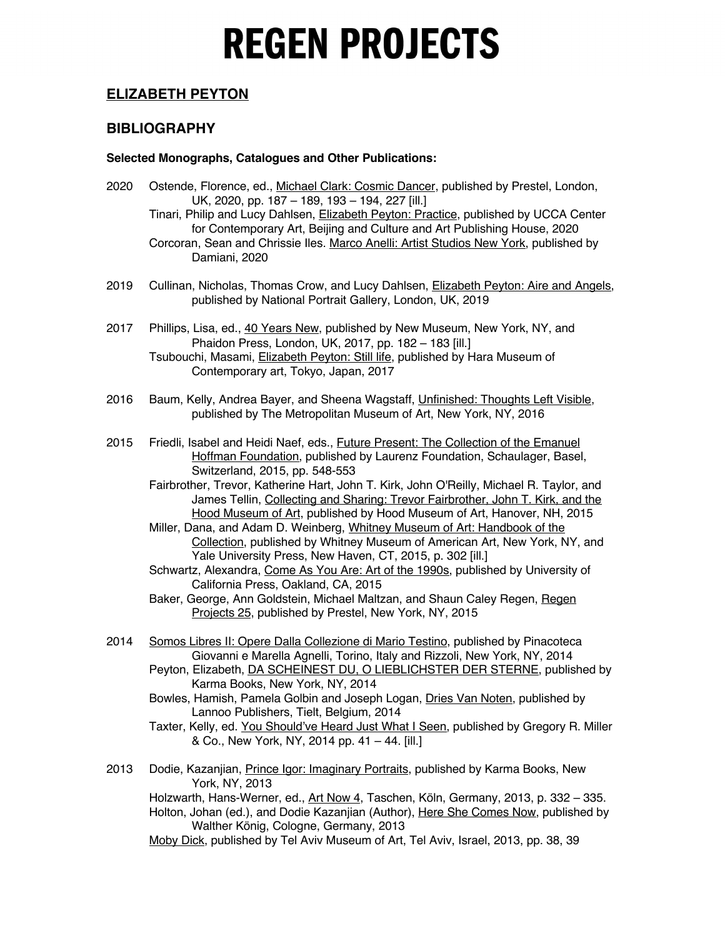### **ELIZABETH PEYTON**

### **BIBLIOGRAPHY**

#### **Selected Monographs, Catalogues and Other Publications:**

- 2020 Ostende, Florence, ed., Michael Clark: Cosmic Dancer, published by Prestel, London, UK, 2020, pp. 187 – 189, 193 – 194, 227 [ill.] Tinari, Philip and Lucy Dahlsen, *Elizabeth Peyton: Practice*, published by UCCA Center
	- for Contemporary Art, Beijing and Culture and Art Publishing House, 2020 Corcoran, Sean and Chrissie Iles. Marco Anelli: Artist Studios New York, published by Damiani, 2020
- 2019 Cullinan, Nicholas, Thomas Crow, and Lucy Dahlsen, *Elizabeth Peyton: Aire and Angels*, published by National Portrait Gallery, London, UK, 2019
- 2017 Phillips, Lisa, ed., 40 Years New, published by New Museum, New York, NY, and Phaidon Press, London, UK, 2017, pp. 182 – 183 [ill.] Tsubouchi, Masami, Elizabeth Peyton: Still life, published by Hara Museum of Contemporary art, Tokyo, Japan, 2017
- 2016 Baum, Kelly, Andrea Bayer, and Sheena Wagstaff, Unfinished: Thoughts Left Visible, published by The Metropolitan Museum of Art, New York, NY, 2016
- 2015 Friedli, Isabel and Heidi Naef, eds., Future Present: The Collection of the Emanuel Hoffman Foundation, published by Laurenz Foundation, Schaulager, Basel, Switzerland, 2015, pp. 548-553
	- Fairbrother, Trevor, Katherine Hart, John T. Kirk, John O'Reilly, Michael R. Taylor, and James Tellin, Collecting and Sharing: Trevor Fairbrother, John T. Kirk, and the Hood Museum of Art, published by Hood Museum of Art, Hanover, NH, 2015
	- Miller, Dana, and Adam D. Weinberg, Whitney Museum of Art: Handbook of the Collection, published by Whitney Museum of American Art, New York, NY, and Yale University Press, New Haven, CT, 2015, p. 302 [ill.]
	- Schwartz, Alexandra, Come As You Are: Art of the 1990s, published by University of California Press, Oakland, CA, 2015
	- Baker, George, Ann Goldstein, Michael Maltzan, and Shaun Caley Regen, Regen Projects 25, published by Prestel, New York, NY, 2015
- 2014 Somos Libres II: Opere Dalla Collezione di Mario Testino, published by Pinacoteca Giovanni e Marella Agnelli, Torino, Italy and Rizzoli, New York, NY, 2014
	- Peyton, Elizabeth, **DA SCHEINEST DU, O LIEBLICHSTER DER STERNE**, published by Karma Books, New York, NY, 2014
	- Bowles, Hamish, Pamela Golbin and Joseph Logan, Dries Van Noten, published by Lannoo Publishers, Tielt, Belgium, 2014
	- Taxter, Kelly, ed. You Should've Heard Just What I Seen, published by Gregory R. Miller & Co., New York, NY, 2014 pp. 41 – 44. [ill.]
- 2013 Dodie, Kazanjian, Prince Igor: Imaginary Portraits, published by Karma Books, New York, NY, 2013

Holzwarth, Hans-Werner, ed., Art Now 4, Taschen, Köln, Germany, 2013, p. 332 - 335. Holton, Johan (ed.), and Dodie Kazanjian (Author), Here She Comes Now, published by Walther König, Cologne, Germany, 2013

Moby Dick, published by Tel Aviv Museum of Art, Tel Aviv, Israel, 2013, pp. 38, 39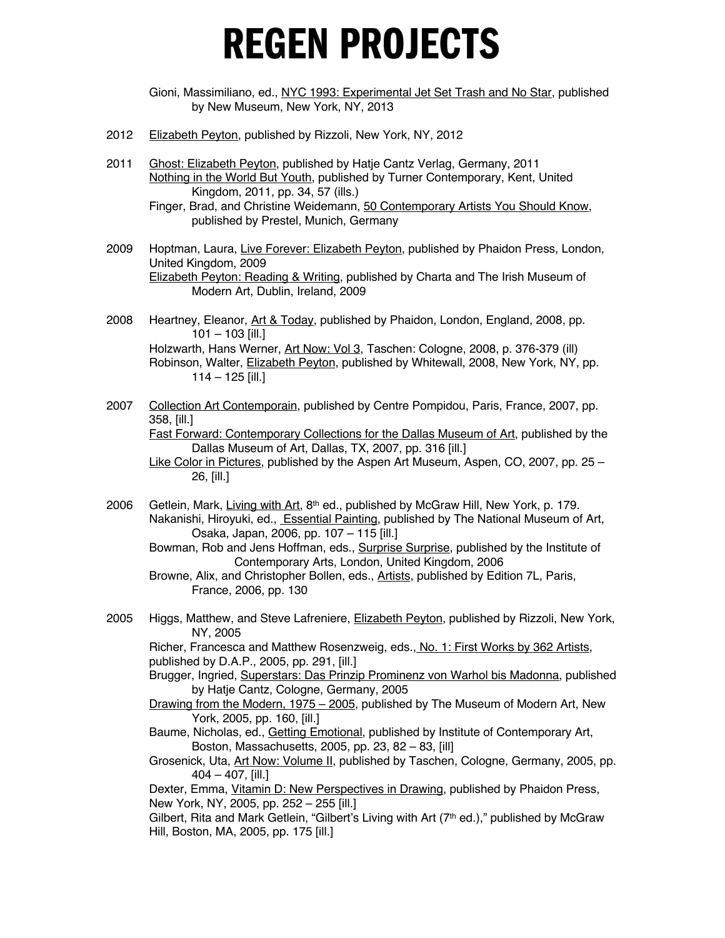Gioni, Massimiliano, ed., NYC 1993: Experimental Jet Set Trash and No Star, published by New Museum, New York, NY, 2013

- 2012 Elizabeth Peyton, published by Rizzoli, New York, NY, 2012
- 2011 Ghost: Elizabeth Peyton, published by Hatje Cantz Verlag, Germany, 2011 Nothing in the World But Youth, published by Turner Contemporary, Kent, United Kingdom, 2011, pp. 34, 57 (ills.)

- 2009 Hoptman, Laura, Live Forever: Elizabeth Peyton, published by Phaidon Press, London, United Kingdom, 2009 Elizabeth Peyton: Reading & Writing, published by Charta and The Irish Museum of Modern Art, Dublin, Ireland, 2009
- 2008 Heartney, Eleanor, Art & Today, published by Phaidon, London, England, 2008, pp.  $101 - 103$  [ill.] Holzwarth, Hans Werner, Art Now: Vol 3, Taschen: Cologne, 2008, p. 376-379 (ill) Robinson, Walter, Elizabeth Peyton, published by Whitewall, 2008, New York, NY, pp. 114 – 125 [ill.]
- 2007 Collection Art Contemporain, published by Centre Pompidou, Paris, France, 2007, pp. 358, [ill.] Fast Forward: Contemporary Collections for the Dallas Museum of Art, published by the Dallas Museum of Art, Dallas, TX, 2007, pp. 316 [ill.] Like Color in Pictures, published by the Aspen Art Museum, Aspen, CO, 2007, pp. 25 – 26, [ill.]
- 2006 Getlein, Mark, Living with Art, 8<sup>th</sup> ed., published by McGraw Hill, New York, p. 179. Nakanishi, Hiroyuki, ed., **Essential Painting**, published by The National Museum of Art, Osaka, Japan, 2006, pp. 107 – 115 [ill.]
	- Bowman, Rob and Jens Hoffman, eds., **Surprise Surprise**, published by the Institute of Contemporary Arts, London, United Kingdom, 2006
	- Browne, Alix, and Christopher Bollen, eds., Artists, published by Edition 7L, Paris, France, 2006, pp. 130
- 2005 Higgs, Matthew, and Steve Lafreniere, **Elizabeth Peyton, published by Rizzoli**, New York, NY, 2005

Richer, Francesca and Matthew Rosenzweig, eds., No. 1: First Works by 362 Artists, published by D.A.P., 2005, pp. 291, [ill.]

- Brugger, Ingried, Superstars: Das Prinzip Prominenz von Warhol bis Madonna, published by Hatje Cantz, Cologne, Germany, 2005
- Drawing from the Modern, 1975 2005, published by The Museum of Modern Art, New York, 2005, pp. 160, [ill.]
- Baume, Nicholas, ed., Getting Emotional, published by Institute of Contemporary Art, Boston, Massachusetts, 2005, pp. 23, 82 – 83, [ill]
- Grosenick, Uta, Art Now: Volume II, published by Taschen, Cologne, Germany, 2005, pp. 404 – 407, [ill.]

Dexter, Emma, Vitamin D: New Perspectives in Drawing, published by Phaidon Press, New York, NY, 2005, pp. 252 – 255 [ill.]

Gilbert, Rita and Mark Getlein, "Gilbert's Living with Art  $(7<sup>th</sup>$  ed.)," published by McGraw Hill, Boston, MA, 2005, pp. 175 [ill.]

Finger, Brad, and Christine Weidemann, 50 Contemporary Artists You Should Know, published by Prestel, Munich, Germany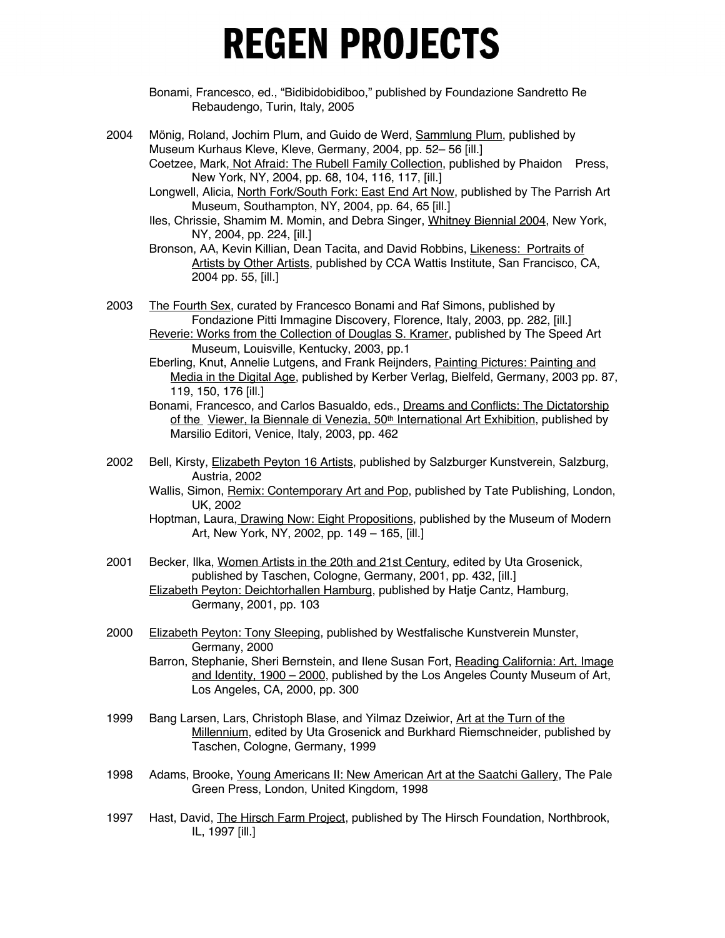Bonami, Francesco, ed., "Bidibidobidiboo," published by Foundazione Sandretto Re Rebaudengo, Turin, Italy, 2005

2004 Mönig, Roland, Jochim Plum, and Guido de Werd, Sammlung Plum, published by Museum Kurhaus Kleve, Kleve, Germany, 2004, pp. 52– 56 [ill.] Coetzee, Mark, Not Afraid: The Rubell Family Collection, published by Phaidon Press,

New York, NY, 2004, pp. 68, 104, 116, 117, [ill.]

Longwell, Alicia, North Fork/South Fork: East End Art Now, published by The Parrish Art Museum, Southampton, NY, 2004, pp. 64, 65 [ill.]

Iles, Chrissie, Shamim M. Momin, and Debra Singer, Whitney Biennial 2004, New York, NY, 2004, pp. 224, [ill.]

Bronson, AA, Kevin Killian, Dean Tacita, and David Robbins, Likeness: Portraits of Artists by Other Artists, published by CCA Wattis Institute, San Francisco, CA, 2004 pp. 55, [ill.]

2003 The Fourth Sex, curated by Francesco Bonami and Raf Simons, published by Fondazione Pitti Immagine Discovery, Florence, Italy, 2003, pp. 282, [ill.] Reverie: Works from the Collection of Douglas S. Kramer, published by The Speed Art

Museum, Louisville, Kentucky, 2003, pp.1

Eberling, Knut, Annelie Lutgens, and Frank Reijnders, Painting Pictures: Painting and Media in the Digital Age, published by Kerber Verlag, Bielfeld, Germany, 2003 pp. 87, 119, 150, 176 [ill.]

- Bonami, Francesco, and Carlos Basualdo, eds., Dreams and Conflicts: The Dictatorship of the Viewer, la Biennale di Venezia, 50<sup>th</sup> International Art Exhibition, published by Marsilio Editori, Venice, Italy, 2003, pp. 462
- 2002 Bell, Kirsty, Elizabeth Peyton 16 Artists, published by Salzburger Kunstverein, Salzburg, Austria, 2002

Wallis, Simon, Remix: Contemporary Art and Pop, published by Tate Publishing, London, UK, 2002

- Hoptman, Laura, Drawing Now: Eight Propositions, published by the Museum of Modern Art, New York, NY, 2002, pp. 149 – 165, [ill.]
- 2001 Becker, Ilka, Women Artists in the 20th and 21st Century, edited by Uta Grosenick, published by Taschen, Cologne, Germany, 2001, pp. 432, [ill.] Elizabeth Peyton: Deichtorhallen Hamburg, published by Hatje Cantz, Hamburg, Germany, 2001, pp. 103
- 2000 Elizabeth Peyton: Tony Sleeping, published by Westfalische Kunstverein Munster, Germany, 2000

Barron, Stephanie, Sheri Bernstein, and Ilene Susan Fort, Reading California: Art, Image and Identity, 1900 – 2000, published by the Los Angeles County Museum of Art, Los Angeles, CA, 2000, pp. 300

- 1999 Bang Larsen, Lars, Christoph Blase, and Yilmaz Dzeiwior, Art at the Turn of the Millennium, edited by Uta Grosenick and Burkhard Riemschneider, published by Taschen, Cologne, Germany, 1999
- 1998 Adams, Brooke, Young Americans II: New American Art at the Saatchi Gallery, The Pale Green Press, London, United Kingdom, 1998
- 1997 Hast, David, The Hirsch Farm Project, published by The Hirsch Foundation, Northbrook, IL, 1997 [ill.]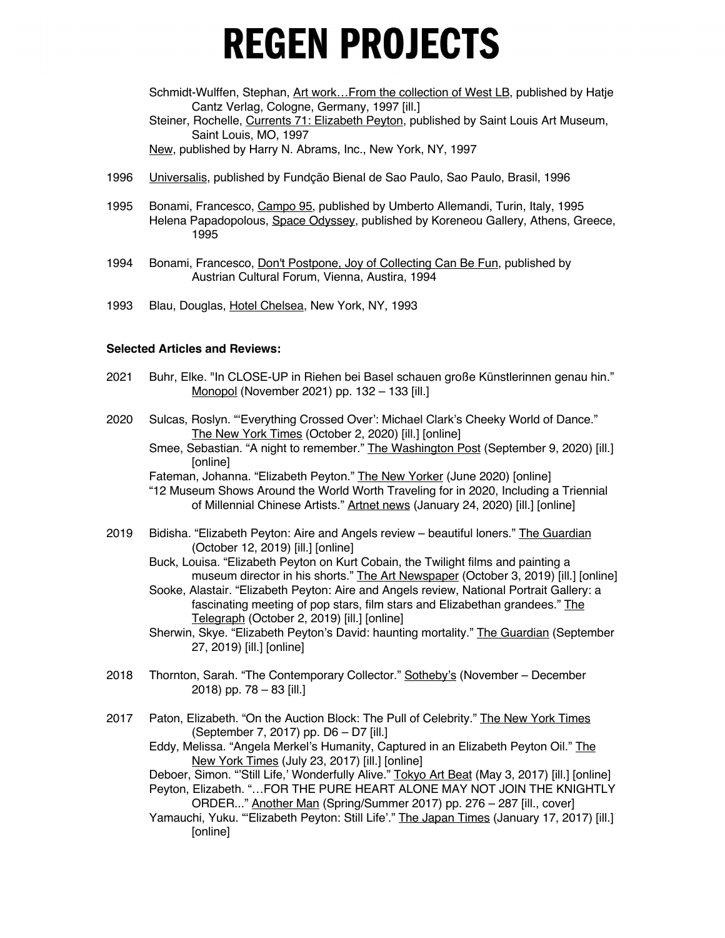Schmidt-Wulffen, Stephan, Art work...From the collection of West LB, published by Hatje Cantz Verlag, Cologne, Germany, 1997 [ill.] Steiner, Rochelle, Currents 71: Elizabeth Peyton, published by Saint Louis Art Museum,

Saint Louis, MO, 1997

New, published by Harry N. Abrams, Inc., New York, NY, 1997

- 1996 Universalis, published by Fundção Bienal de Sao Paulo, Sao Paulo, Brasil, 1996
- 1995 Bonami, Francesco, Campo 95, published by Umberto Allemandi, Turin, Italy, 1995 Helena Papadopolous, Space Odyssey, published by Koreneou Gallery, Athens, Greece, 1995
- 1994 Bonami, Francesco, Don't Postpone, Joy of Collecting Can Be Fun, published by Austrian Cultural Forum, Vienna, Austira, 1994
- 1993 Blau, Douglas, Hotel Chelsea, New York, NY, 1993

#### **Selected Articles and Reviews:**

- 2021 Buhr, Elke. "In CLOSE-UP in Riehen bei Basel schauen große Künstlerinnen genau hin." Monopol (November 2021) pp. 132 – 133 [ill.]
- 2020 Sulcas, Roslyn. "'Everything Crossed Over': Michael Clark's Cheeky World of Dance." The New York Times (October 2, 2020) [ill.] [online]
	- Smee, Sebastian. "A night to remember." The Washington Post (September 9, 2020) [ill.] [online]

Fateman, Johanna. "Elizabeth Peyton." The New Yorker (June 2020) [online] "12 Museum Shows Around the World Worth Traveling for in 2020, Including a Triennial of Millennial Chinese Artists." Artnet news (January 24, 2020) [ill.] [online]

- 2019 Bidisha. "Elizabeth Peyton: Aire and Angels review beautiful loners." The Guardian (October 12, 2019) [ill.] [online]
	- Buck, Louisa. "Elizabeth Peyton on Kurt Cobain, the Twilight films and painting a museum director in his shorts." The Art Newspaper (October 3, 2019) [ill.] [online]
	- Sooke, Alastair. "Elizabeth Peyton: Aire and Angels review, National Portrait Gallery: a fascinating meeting of pop stars, film stars and Elizabethan grandees." The Telegraph (October 2, 2019) [ill.] [online]
	- Sherwin, Skye. "Elizabeth Peyton's David: haunting mortality." The Guardian (September 27, 2019) [ill.] [online]
- 2018 Thornton, Sarah. "The Contemporary Collector." **Sotheby's (November December** 2018) pp. 78 – 83 [ill.]
- 2017 Paton, Elizabeth. "On the Auction Block: The Pull of Celebrity." The New York Times (September 7, 2017) pp. D6 – D7 [ill.]

Eddy, Melissa. "Angela Merkel's Humanity, Captured in an Elizabeth Peyton Oil." The New York Times (July 23, 2017) [ill.] [online]

Deboer, Simon. "'Still Life,' Wonderfully Alive." Tokyo Art Beat (May 3, 2017) [ill.] [online] Peyton, Elizabeth. "…FOR THE PURE HEART ALONE MAY NOT JOIN THE KNIGHTLY ORDER..." Another Man (Spring/Summer 2017) pp. 276 – 287 [ill., cover]

Yamauchi, Yuku. "'Elizabeth Peyton: Still Life'." The Japan Times (January 17, 2017) [ill.] [online]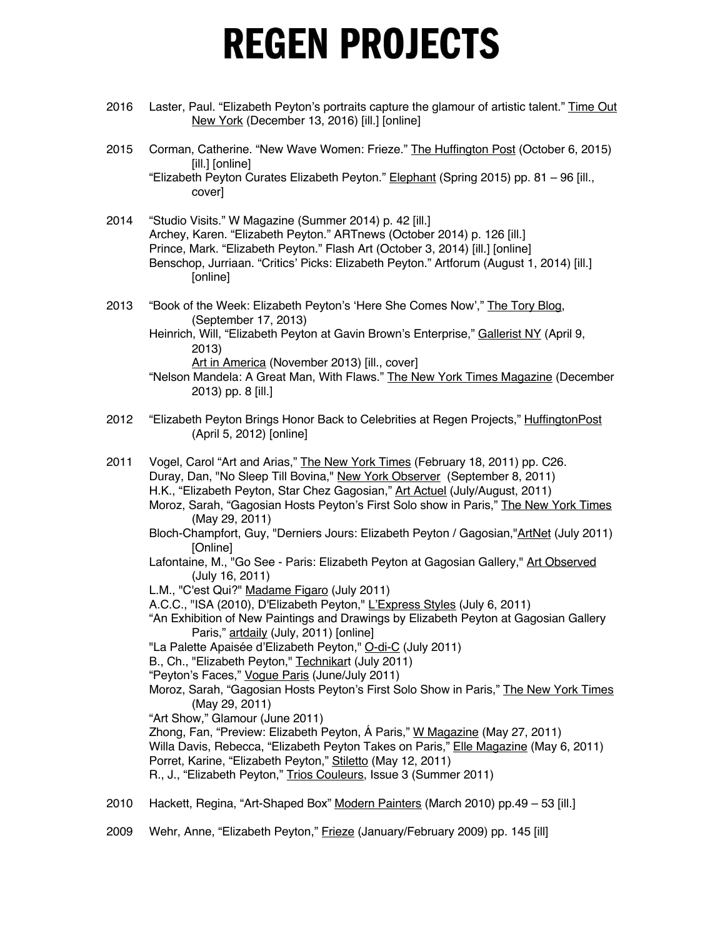- 2016 Laster, Paul. "Elizabeth Peyton's portraits capture the glamour of artistic talent." Time Out New York (December 13, 2016) [ill.] [online]
- 2015 Corman, Catherine. "New Wave Women: Frieze." The Huffington Post (October 6, 2015) [ill.] [online] "Elizabeth Peyton Curates Elizabeth Peyton." Elephant (Spring 2015) pp. 81 – 96 [ill., cover]
- 2014 "Studio Visits." W Magazine (Summer 2014) p. 42 [ill.] Archey, Karen. "Elizabeth Peyton." ARTnews (October 2014) p. 126 [ill.] Prince, Mark. "Elizabeth Peyton." Flash Art (October 3, 2014) [ill.] [online] Benschop, Jurriaan. "Critics' Picks: Elizabeth Peyton." Artforum (August 1, 2014) [ill.] [online]
- 2013 "Book of the Week: Elizabeth Peyton's 'Here She Comes Now'," The Tory Blog, (September 17, 2013)
	- Heinrich, Will, "Elizabeth Peyton at Gavin Brown's Enterprise," Gallerist NY (April 9, 2013)

Art in America (November 2013) [ill., cover]

- "Nelson Mandela: A Great Man, With Flaws." The New York Times Magazine (December 2013) pp. 8 [ill.]
- 2012 "Elizabeth Peyton Brings Honor Back to Celebrities at Regen Projects," HuffingtonPost (April 5, 2012) [online]
- 2011 Vogel, Carol "Art and Arias," The New York Times (February 18, 2011) pp. C26. Duray, Dan, "No Sleep Till Bovina," New York Observer (September 8, 2011) H.K., "Elizabeth Peyton, Star Chez Gagosian," Art Actuel (July/August, 2011) Moroz, Sarah, "Gagosian Hosts Peyton's First Solo show in Paris," The New York Times (May 29, 2011) Bloch-Champfort, Guy, "Derniers Jours: Elizabeth Peyton / Gagosian,"ArtNet (July 2011) [Online] Lafontaine, M., "Go See - Paris: Elizabeth Peyton at Gagosian Gallery," Art Observed (July 16, 2011) L.M., "C'est Qui?" Madame Figaro (July 2011) A.C.C., "ISA (2010), D'Elizabeth Peyton," L'Express Styles (July 6, 2011) "An Exhibition of New Paintings and Drawings by Elizabeth Peyton at Gagosian Gallery Paris," artdaily (July, 2011) [online] "La Palette Apaisée d'Elizabeth Peyton," O-di-C (July 2011) B., Ch., "Elizabeth Peyton," Technikart (July 2011) "Peyton's Faces," Vogue Paris (June/July 2011) Moroz, Sarah, "Gagosian Hosts Peyton's First Solo Show in Paris," The New York Times (May 29, 2011) "Art Show," Glamour (June 2011) Zhong, Fan, "Preview: Elizabeth Peyton, Á Paris," W Magazine (May 27, 2011) Willa Davis, Rebecca, "Elizabeth Peyton Takes on Paris," Elle Magazine (May 6, 2011) Porret, Karine, "Elizabeth Peyton," Stiletto (May 12, 2011) R., J., "Elizabeth Peyton," Trios Couleurs, Issue 3 (Summer 2011) 2010 Hackett, Regina, "Art-Shaped Box" Modern Painters (March 2010) pp.49 – 53 [ill.]
- 2009 Wehr, Anne, "Elizabeth Peyton," Frieze (January/February 2009) pp. 145 [ill]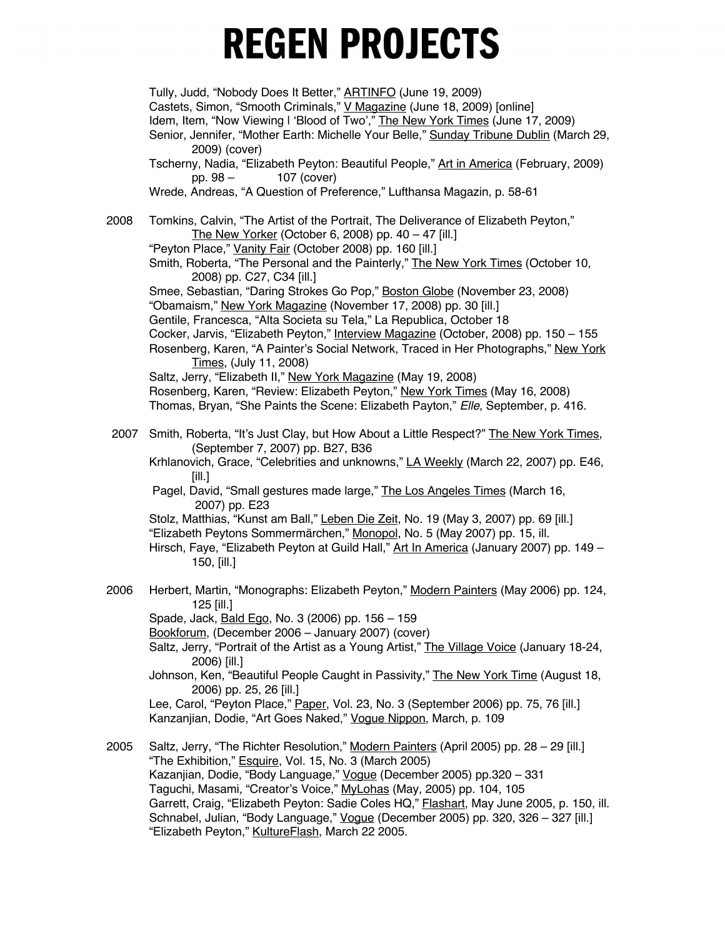Tully, Judd, "Nobody Does It Better," **ARTINFO** (June 19, 2009) Castets, Simon, "Smooth Criminals," V Magazine (June 18, 2009) [online] Idem, Item, "Now Viewing | ʻBlood of Two'," The New York Times (June 17, 2009) Senior, Jennifer, "Mother Earth: Michelle Your Belle," Sunday Tribune Dublin (March 29, 2009) (cover) Tscherny, Nadia, "Elizabeth Peyton: Beautiful People," Art in America (February, 2009) pp. 98 – 107 (cover) Wrede, Andreas, "A Question of Preference," Lufthansa Magazin, p. 58-61 2008 Tomkins, Calvin, "The Artist of the Portrait, The Deliverance of Elizabeth Peyton," The New Yorker (October 6, 2008) pp.  $40 - 47$  [ill.] "Peyton Place," Vanity Fair (October 2008) pp. 160 [ill.] Smith, Roberta, "The Personal and the Painterly," The New York Times (October 10, 2008) pp. C27, C34 [ill.] Smee, Sebastian, "Daring Strokes Go Pop," Boston Globe (November 23, 2008) "Obamaism," New York Magazine (November 17, 2008) pp. 30 [ill.] Gentile, Francesca, "Alta Societa su Tela," La Republica, October 18 Cocker, Jarvis, "Elizabeth Peyton," Interview Magazine (October, 2008) pp. 150 – 155 Rosenberg, Karen, "A Painter's Social Network, Traced in Her Photographs," New York Times, (July 11, 2008) Saltz, Jerry, "Elizabeth II," New York Magazine (May 19, 2008) Rosenberg, Karen, "Review: Elizabeth Peyton," New York Times (May 16, 2008) Thomas, Bryan, "She Paints the Scene: Elizabeth Payton," *Elle*, September, p. 416. 2007 Smith, Roberta, "It's Just Clay, but How About a Little Respect?" The New York Times, (September 7, 2007) pp. B27, B36 Krhlanovich, Grace, "Celebrities and unknowns," LA Weekly (March 22, 2007) pp. E46, [ill.] Pagel, David, "Small gestures made large," The Los Angeles Times (March 16, 2007) pp. E23 Stolz, Matthias, "Kunst am Ball," Leben Die Zeit, No. 19 (May 3, 2007) pp. 69 [ill.] "Elizabeth Peytons Sommermärchen," Monopol, No. 5 (May 2007) pp. 15, ill. Hirsch, Faye, "Elizabeth Peyton at Guild Hall," Art In America (January 2007) pp. 149 - 150, [ill.] 2006 Herbert, Martin, "Monographs: Elizabeth Peyton," Modern Painters (May 2006) pp. 124, 125 [ill.] Spade, Jack, Bald Ego, No. 3 (2006) pp. 156 – 159 Bookforum, (December 2006 – January 2007) (cover) Saltz, Jerry, "Portrait of the Artist as a Young Artist," The Village Voice (January 18-24, 2006) [ill.] Johnson, Ken, "Beautiful People Caught in Passivity," The New York Time (August 18, 2006) pp. 25, 26 [ill.] Lee, Carol, "Peyton Place," Paper, Vol. 23, No. 3 (September 2006) pp. 75, 76 [ill.] Kanzanjian, Dodie, "Art Goes Naked," Vogue Nippon, March, p. 109 2005 Saltz, Jerry, "The Richter Resolution," Modern Painters (April 2005) pp. 28 – 29 [ill.] "The Exhibition," **Esquire, Vol. 15, No. 3 (March 2005)** Kazanjian, Dodie, "Body Language," Vogue (December 2005) pp.320 - 331 Taguchi, Masami, "Creator's Voice," MyLohas (May, 2005) pp. 104, 105 Garrett, Craig, "Elizabeth Peyton: Sadie Coles HQ," Flashart, May June 2005, p. 150, ill.

Schnabel, Julian, "Body Language," Vogue (December 2005) pp. 320, 326 – 327 [ill.] "Elizabeth Peyton," KultureFlash, March 22 2005.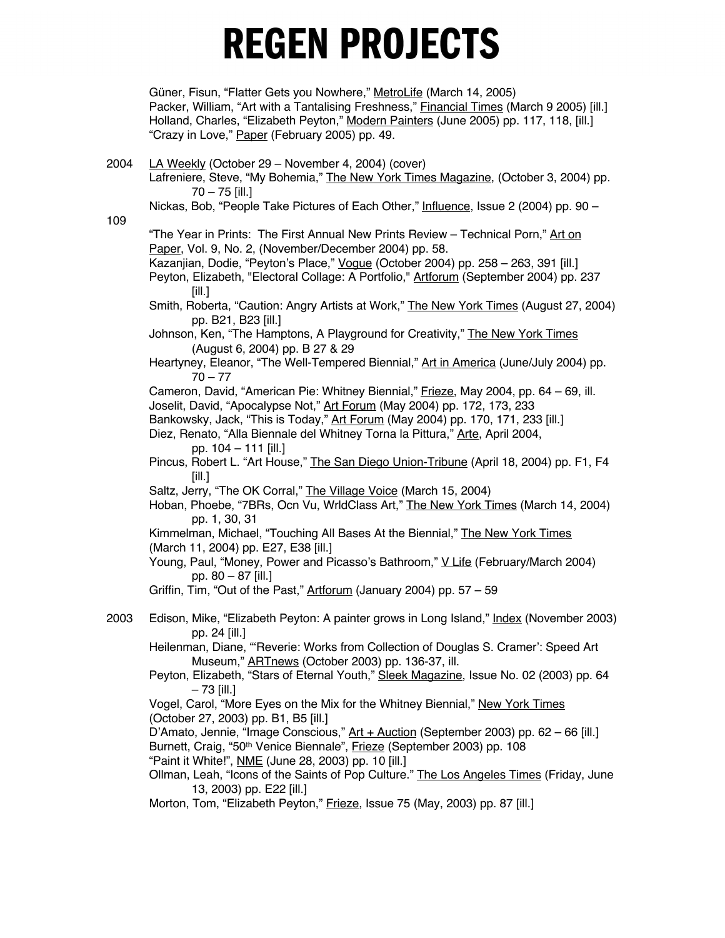Güner, Fisun, "Flatter Gets you Nowhere," MetroLife (March 14, 2005) Packer, William, "Art with a Tantalising Freshness," **Financial Times (March 9 2005)** [ill.] Holland, Charles, "Elizabeth Peyton," Modern Painters (June 2005) pp. 117, 118, [ill.] "Crazy in Love," Paper (February 2005) pp. 49.

2004 LA Weekly (October 29 – November 4, 2004) (cover) Lafreniere, Steve, "My Bohemia," The New York Times Magazine, (October 3, 2004) pp. 70 – 75 [ill.] Nickas, Bob, "People Take Pictures of Each Other," Influence, Issue 2 (2004) pp. 90 – 109 "The Year in Prints: The First Annual New Prints Review - Technical Porn," Art on Paper, Vol. 9, No. 2, (November/December 2004) pp. 58. Kazanjian, Dodie, "Peyton's Place," Vogue (October 2004) pp. 258 - 263, 391 [ill.] Peyton, Elizabeth, "Electoral Collage: A Portfolio," Artforum (September 2004) pp. 237 [ill.] Smith, Roberta, "Caution: Angry Artists at Work," The New York Times (August 27, 2004) pp. B21, B23 [ill.] Johnson, Ken, "The Hamptons, A Playground for Creativity," The New York Times (August 6, 2004) pp. B 27 & 29 Heartyney, Eleanor, "The Well-Tempered Biennial," Art in America (June/July 2004) pp. 70 – 77 Cameron, David, "American Pie: Whitney Biennial," Frieze, May 2004, pp. 64 - 69, ill. Joselit, David, "Apocalypse Not," Art Forum (May 2004) pp. 172, 173, 233 Bankowsky, Jack, "This is Today," Art Forum (May 2004) pp. 170, 171, 233 [ill.] Diez, Renato, "Alla Biennale del Whitney Torna la Pittura," Arte, April 2004, pp. 104 – 111 [ill.] Pincus, Robert L. "Art House," The San Diego Union-Tribune (April 18, 2004) pp. F1, F4 [ill.] Saltz, Jerry, "The OK Corral," The Village Voice (March 15, 2004) Hoban, Phoebe, "7BRs, Ocn Vu, WrldClass Art," The New York Times (March 14, 2004) pp. 1, 30, 31 Kimmelman, Michael, "Touching All Bases At the Biennial," The New York Times (March 11, 2004) pp. E27, E38 [ill.] Young, Paul, "Money, Power and Picasso's Bathroom," V Life (February/March 2004) pp. 80 – 87 [ill.] Griffin, Tim, "Out of the Past," Artforum (January 2004) pp. 57 – 59 2003 Edison, Mike, "Elizabeth Peyton: A painter grows in Long Island," Index (November 2003) pp. 24 [ill.] Heilenman, Diane, "'Reverie: Works from Collection of Douglas S. Cramer': Speed Art Museum," ARTnews (October 2003) pp. 136-37, ill. Peyton, Elizabeth, "Stars of Eternal Youth," Sleek Magazine, Issue No. 02 (2003) pp. 64  $-73$  [ill.] Vogel, Carol, "More Eyes on the Mix for the Whitney Biennial," New York Times (October 27, 2003) pp. B1, B5 [ill.] D'Amato, Jennie, "Image Conscious," Art + Auction (September 2003) pp. 62 - 66 [ill.] Burnett, Craig, "50th Venice Biennale", Frieze (September 2003) pp. 108 "Paint it White!", NME (June 28, 2003) pp. 10 [ill.] Ollman, Leah, "Icons of the Saints of Pop Culture." The Los Angeles Times (Friday, June 13, 2003) pp. E22 [ill.] Morton, Tom, "Elizabeth Peyton," Frieze, Issue 75 (May, 2003) pp. 87 [ill.]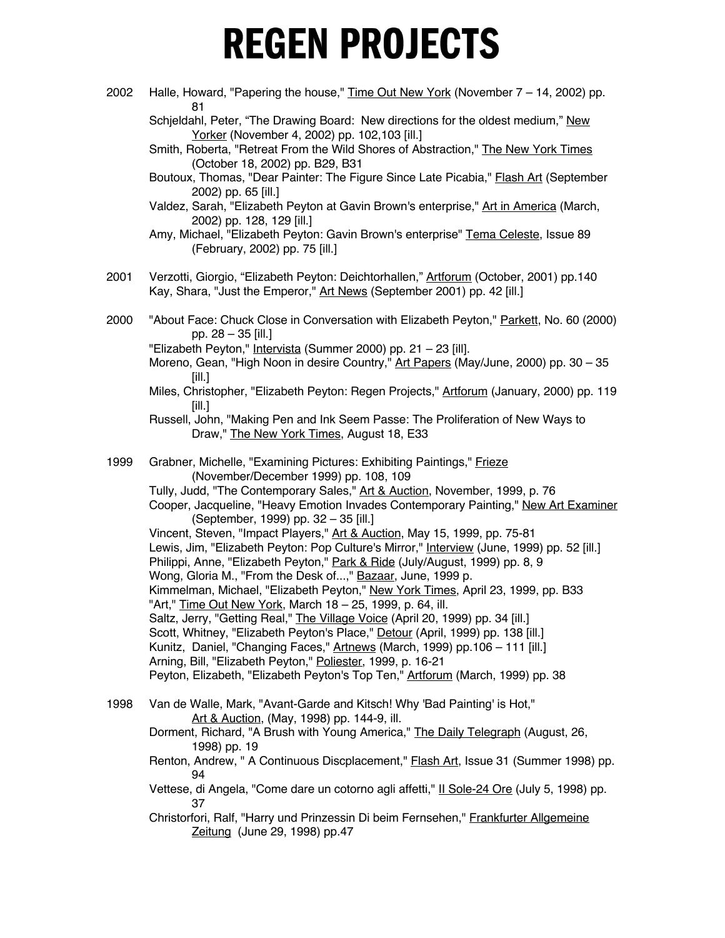2002 Halle, Howard, "Papering the house," Time Out New York (November  $7 - 14$ , 2002) pp. 81 Schjeldahl, Peter, "The Drawing Board: New directions for the oldest medium," New Yorker (November 4, 2002) pp. 102, 103 [ill.] Smith, Roberta, "Retreat From the Wild Shores of Abstraction," The New York Times (October 18, 2002) pp. B29, B31 Boutoux, Thomas, "Dear Painter: The Figure Since Late Picabia," **Flash Art (September** 2002) pp. 65 [ill.] Valdez, Sarah, "Elizabeth Peyton at Gavin Brown's enterprise," Art in America (March, 2002) pp. 128, 129 [ill.] Amy, Michael, "Elizabeth Peyton: Gavin Brown's enterprise" Tema Celeste, Issue 89 (February, 2002) pp. 75 [ill.] 2001 Verzotti, Giorgio, "Elizabeth Peyton: Deichtorhallen," Artforum (October, 2001) pp.140 Kay, Shara, "Just the Emperor," Art News (September 2001) pp. 42 [ill.] 2000 "About Face: Chuck Close in Conversation with Elizabeth Peyton," Parkett, No. 60 (2000) pp. 28 – 35 [ill.] "Elizabeth Peyton," Intervista (Summer 2000) pp. 21 – 23 [ill]. Moreno, Gean, "High Noon in desire Country," Art Papers (May/June, 2000) pp. 30 - 35 [ill.] Miles, Christopher, "Elizabeth Peyton: Regen Projects," Artforum (January, 2000) pp. 119 [ill.] Russell, John, "Making Pen and Ink Seem Passe: The Proliferation of New Ways to Draw," The New York Times, August 18, E33 1999 Grabner, Michelle, "Examining Pictures: Exhibiting Paintings," Frieze (November/December 1999) pp. 108, 109 Tully, Judd, "The Contemporary Sales," Art & Auction, November, 1999, p. 76 Cooper, Jacqueline, "Heavy Emotion Invades Contemporary Painting," New Art Examiner (September, 1999) pp. 32 – 35 [ill.] Vincent, Steven, "Impact Players," Art & Auction, May 15, 1999, pp. 75-81 Lewis, Jim, "Elizabeth Peyton: Pop Culture's Mirror," Interview (June, 1999) pp. 52 [ill.] Philippi, Anne, "Elizabeth Peyton," Park & Ride (July/August, 1999) pp. 8, 9 Wong, Gloria M., "From the Desk of...," Bazaar, June, 1999 p. Kimmelman, Michael, "Elizabeth Peyton," New York Times, April 23, 1999, pp. B33 "Art," Time Out New York, March 18 - 25, 1999, p. 64, ill. Saltz, Jerry, "Getting Real," The Village Voice (April 20, 1999) pp. 34 [ill.] Scott, Whitney, "Elizabeth Peyton's Place," Detour (April, 1999) pp. 138 [ill.] Kunitz, Daniel, "Changing Faces," Artnews (March, 1999) pp.106 – 111 [ill.] Arning, Bill, "Elizabeth Peyton," Poliester, 1999, p. 16-21 Peyton, Elizabeth, "Elizabeth Peyton's Top Ten," Artforum (March, 1999) pp. 38 1998 Van de Walle, Mark, "Avant-Garde and Kitsch! Why 'Bad Painting' is Hot," Art & Auction, (May, 1998) pp. 144-9, ill. Dorment, Richard, "A Brush with Young America," The Daily Telegraph (August, 26, 1998) pp. 19 Renton, Andrew, " A Continuous Discplacement," **Flash Art**, Issue 31 (Summer 1998) pp. 94 Vettese, di Angela, "Come dare un cotorno agli affetti," II Sole-24 Ore (July 5, 1998) pp. 37 Christorfori, Ralf, "Harry und Prinzessin Di beim Fernsehen," Frankfurter Allgemeine Zeitung (June 29, 1998) pp.47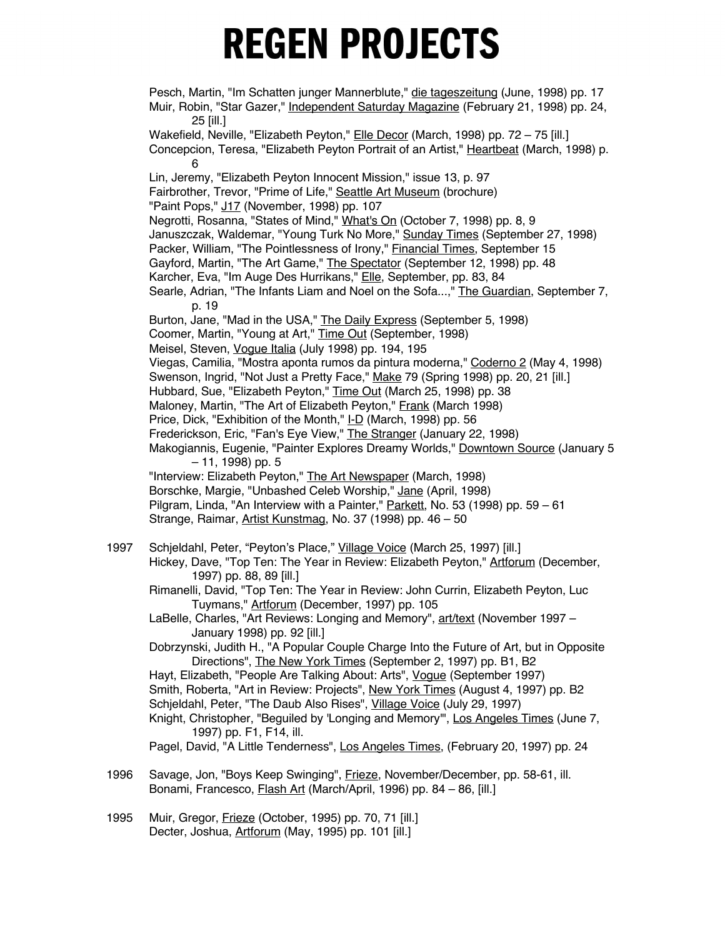Pesch, Martin, "Im Schatten junger Mannerblute," die tageszeitung (June, 1998) pp. 17 Muir, Robin, "Star Gazer," Independent Saturday Magazine (February 21, 1998) pp. 24, 25 [ill.] Wakefield, Neville, "Elizabeth Peyton," Elle Decor (March, 1998) pp. 72 - 75 [ill.] Concepcion, Teresa, "Elizabeth Peyton Portrait of an Artist," Heartbeat (March, 1998) p. 6 Lin, Jeremy, "Elizabeth Peyton Innocent Mission," issue 13, p. 97 Fairbrother, Trevor, "Prime of Life," Seattle Art Museum (brochure) "Paint Pops," J17 (November, 1998) pp. 107 Negrotti, Rosanna, "States of Mind," What's On (October 7, 1998) pp. 8, 9 Januszczak, Waldemar, "Young Turk No More," Sunday Times (September 27, 1998) Packer, William, "The Pointlessness of Irony," Financial Times, September 15 Gayford, Martin, "The Art Game," The Spectator (September 12, 1998) pp. 48 Karcher, Eva, "Im Auge Des Hurrikans," Elle, September, pp. 83, 84 Searle, Adrian, "The Infants Liam and Noel on the Sofa...," The Guardian, September 7, p. 19 Burton, Jane, "Mad in the USA," The Daily Express (September 5, 1998) Coomer, Martin, "Young at Art," Time Out (September, 1998) Meisel, Steven, Vogue Italia (July 1998) pp. 194, 195 Viegas, Camilia, "Mostra aponta rumos da pintura moderna," Coderno 2 (May 4, 1998) Swenson, Ingrid, "Not Just a Pretty Face," Make 79 (Spring 1998) pp. 20, 21 [ill.] Hubbard, Sue, "Elizabeth Peyton," Time Out (March 25, 1998) pp. 38 Maloney, Martin, "The Art of Elizabeth Peyton," Frank (March 1998) Price, Dick, "Exhibition of the Month," I-D (March, 1998) pp. 56 Frederickson, Eric, "Fan's Eye View," The Stranger (January 22, 1998) Makogiannis, Eugenie, "Painter Explores Dreamy Worlds," Downtown Source (January 5 – 11, 1998) pp. 5 "Interview: Elizabeth Peyton," The Art Newspaper (March, 1998) Borschke, Margie, "Unbashed Celeb Worship," Jane (April, 1998) Pilgram, Linda, "An Interview with a Painter," Parkett, No. 53 (1998) pp. 59 – 61 Strange, Raimar, Artist Kunstmag, No. 37 (1998) pp. 46 – 50 1997 Schjeldahl, Peter, "Peyton's Place," Village Voice (March 25, 1997) [ill.] Hickey, Dave, "Top Ten: The Year in Review: Elizabeth Peyton," Artforum (December, 1997) pp. 88, 89 [ill.] Rimanelli, David, "Top Ten: The Year in Review: John Currin, Elizabeth Peyton, Luc Tuymans," Artforum (December, 1997) pp. 105 LaBelle, Charles, "Art Reviews: Longing and Memory", art/text (November 1997 – January 1998) pp. 92 [ill.] Dobrzynski, Judith H., "A Popular Couple Charge Into the Future of Art, but in Opposite Directions", The New York Times (September 2, 1997) pp. B1, B2 Hayt, Elizabeth, "People Are Talking About: Arts", Vogue (September 1997) Smith, Roberta, "Art in Review: Projects", New York Times (August 4, 1997) pp. B2 Schjeldahl, Peter, "The Daub Also Rises", Village Voice (July 29, 1997) Knight, Christopher, "Beguiled by 'Longing and Memory'", Los Angeles Times (June 7, 1997) pp. F1, F14, ill. Pagel, David, "A Little Tenderness", Los Angeles Times, (February 20, 1997) pp. 24 1996 Savage, Jon, "Boys Keep Swinging", *Frieze*, November/December, pp. 58-61, ill. Bonami, Francesco, Flash Art (March/April, 1996) pp. 84 – 86, [ill.]

1995 Muir, Gregor, Frieze (October, 1995) pp. 70, 71 [ill.] Decter, Joshua, Artforum (May, 1995) pp. 101 [ill.]